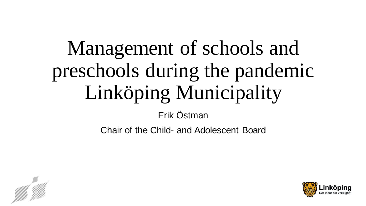# Management of schools and preschools during the pandemic Linköping Municipality

Erik Östman

Chair of the Child- and Adolescent Board



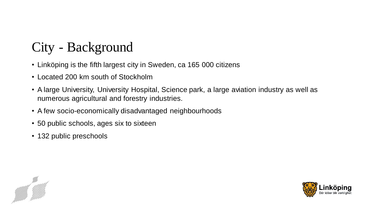# City - Background

- Linköping is the fifth largest city in Sweden, ca 165 000 citizens
- Located 200 km south of Stockholm
- A large University, University Hospital, Science park, a large aviation industry as well as numerous agricultural and forestry industries.
- A few socio-economically disadvantaged neighbourhoods
- 50 public schools, ages six to sixteen
- 132 public preschools



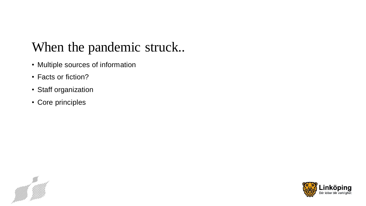### When the pandemic struck..

- Multiple sources of information
- Facts or fiction?
- Staff organization
- Core principles



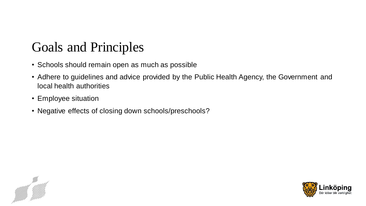## Goals and Principles

- Schools should remain open as much as possible
- Adhere to guidelines and advice provided by the Public Health Agency, the Government and local health authorities
- Employee situation
- Negative effects of closing down schools/preschools?



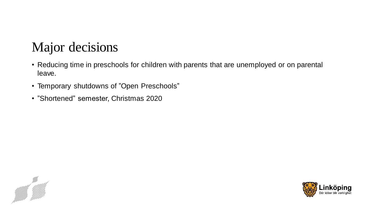## Major decisions

- Reducing time in preschools for children with parents that are unemployed or on parental leave.
- Temporary shutdowns of "Open Preschools"
- "Shortened" semester, Christmas 2020



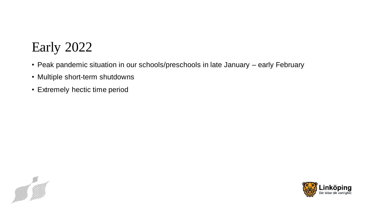# Early 2022

- Peak pandemic situation in our schools/preschools in late January early February
- Multiple short-term shutdowns
- Extremely hectic time period